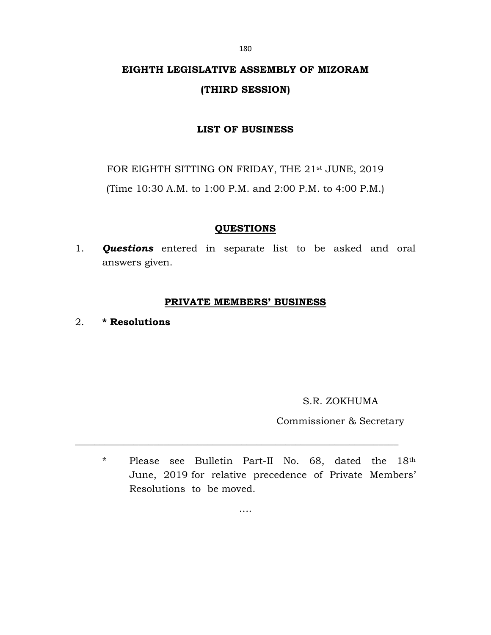# EIGHTH LEGISLATIVE ASSEMBLY OF MIZORAM (THIRD SESSION)

## LIST OF BUSINESS

FOR EIGHTH SITTING ON FRIDAY, THE 21st JUNE, 2019

(Time 10:30 A.M. to 1:00 P.M. and 2:00 P.M. to 4:00 P.M.)

## QUESTIONS

1. **Questions** entered in separate list to be asked and oral answers given.

## PRIVATE MEMBERS' BUSINESS

2. \* Resolutions

S.R. ZOKHUMA

Commissioner & Secretary

\* Please see Bulletin Part-II No. 68, dated the 18th June, 2019 for relative precedence of Private Members' Resolutions to be moved.

180

….

\_\_\_\_\_\_\_\_\_\_\_\_\_\_\_\_\_\_\_\_\_\_\_\_\_\_\_\_\_\_\_\_\_\_\_\_\_\_\_\_\_\_\_\_\_\_\_\_\_\_\_\_\_\_\_\_\_\_\_\_\_\_\_\_\_\_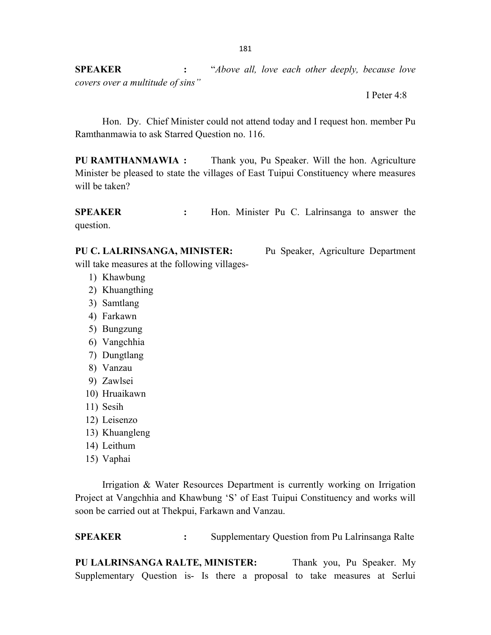SPEAKER : "Above all, love each other deeply, because love covers over a multitude of sins"

I Peter 4:8

 Hon. Dy. Chief Minister could not attend today and I request hon. member Pu Ramthanmawia to ask Starred Question no. 116.

PU RAMTHANMAWIA : Thank you, Pu Speaker. Will the hon. Agriculture Minister be pleased to state the villages of East Tuipui Constituency where measures will be taken?

SPEAKER : Hon. Minister Pu C. Lalrinsanga to answer the question.

will take measures at the following villages-

- 1) Khawbung
- 2) Khuangthing
- 3) Samtlang
- 4) Farkawn
- 5) Bungzung
- 6) Vangchhia
- 7) Dungtlang
- 8) Vanzau
- 9) Zawlsei
- 10) Hruaikawn
- 11) Sesih
- 12) Leisenzo
- 13) Khuangleng
- 14) Leithum
- 15) Vaphai

 Irrigation & Water Resources Department is currently working on Irrigation Project at Vangchhia and Khawbung 'S' of East Tuipui Constituency and works will soon be carried out at Thekpui, Farkawn and Vanzau.

SPEAKER : Supplementary Question from Pu Lalrinsanga Ralte

PU LALRINSANGA RALTE, MINISTER: Thank you, Pu Speaker. My Supplementary Question is- Is there a proposal to take measures at Serlui

PU C. LALRINSANGA, MINISTER: Pu Speaker, Agriculture Department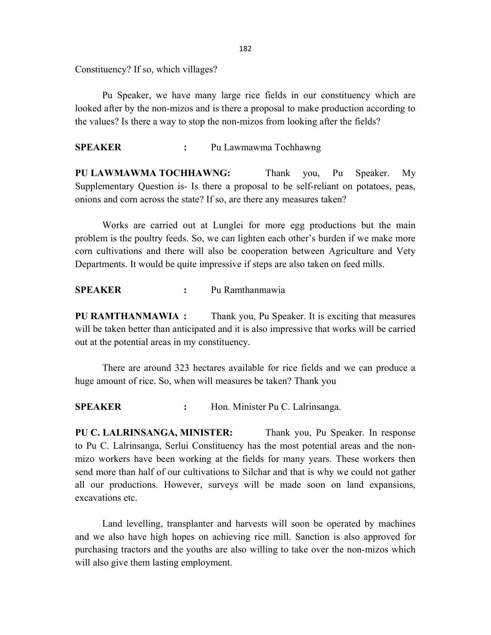Constituency? If so, which villages?

 Pu Speaker, we have many large rice fields in our constituency which are looked after by the non-mizos and is there a proposal to make production according to the values? Is there a way to stop the non-mizos from looking after the fields?

### SPEAKER : Pu Lawmawma Tochhawng

PU LAWMAWMA TOCHHAWNG: Thank you, Pu Speaker. My Supplementary Question is- Is there a proposal to be self-reliant on potatoes, peas, onions and corn across the state? If so, are there any measures taken?

 Works are carried out at Lunglei for more egg productions but the main problem is the poultry feeds. So, we can lighten each other's burden if we make more corn cultivations and there will also be cooperation between Agriculture and Vety Departments. It would be quite impressive if steps are also taken on feed mills.

### SPEAKER : Pu Ramthanmawia

PU RAMTHANMAWIA : Thank you, Pu Speaker. It is exciting that measures will be taken better than anticipated and it is also impressive that works will be carried out at the potential areas in my constituency.

 There are around 323 hectares available for rice fields and we can produce a huge amount of rice. So, when will measures be taken? Thank you

SPEAKER : Hon. Minister Pu C. Lalrinsanga.

PU C. LALRINSANGA, MINISTER: Thank you, Pu Speaker. In response to Pu C. Lalrinsanga, Serlui Constituency has the most potential areas and the nonmizo workers have been working at the fields for many years. These workers then send more than half of our cultivations to Silchar and that is why we could not gather all our productions. However, surveys will be made soon on land expansions, excavations etc.

 Land levelling, transplanter and harvests will soon be operated by machines and we also have high hopes on achieving rice mill. Sanction is also approved for purchasing tractors and the youths are also willing to take over the non-mizos which will also give them lasting employment.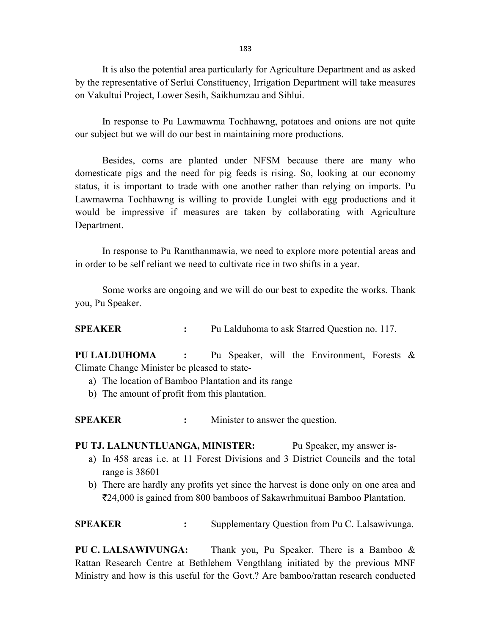183

 It is also the potential area particularly for Agriculture Department and as asked by the representative of Serlui Constituency, Irrigation Department will take measures on Vakultui Project, Lower Sesih, Saikhumzau and Sihlui.

 In response to Pu Lawmawma Tochhawng, potatoes and onions are not quite our subject but we will do our best in maintaining more productions.

 Besides, corns are planted under NFSM because there are many who domesticate pigs and the need for pig feeds is rising. So, looking at our economy status, it is important to trade with one another rather than relying on imports. Pu Lawmawma Tochhawng is willing to provide Lunglei with egg productions and it would be impressive if measures are taken by collaborating with Agriculture Department.

 In response to Pu Ramthanmawia, we need to explore more potential areas and in order to be self reliant we need to cultivate rice in two shifts in a year.

 Some works are ongoing and we will do our best to expedite the works. Thank you, Pu Speaker.

SPEAKER : Pu Lalduhoma to ask Starred Question no. 117.

PU LALDUHOMA : Pu Speaker, will the Environment, Forests & Climate Change Minister be pleased to state-

- a) The location of Bamboo Plantation and its range
- b) The amount of profit from this plantation.

SPEAKER : Minister to answer the question.

#### PU TJ. LALNUNTLUANGA, MINISTER: Pu Speaker, my answer is-

- a) In 458 areas i.e. at 11 Forest Divisions and 3 District Councils and the total range is 38601
- b) There are hardly any profits yet since the harvest is done only on one area and 24,000 is gained from 800 bamboos of Sakawrhmuituai Bamboo Plantation.

SPEAKER : Supplementary Question from Pu C. Lalsawivunga.

PU C. LALSAWIVUNGA: Thank you, Pu Speaker. There is a Bamboo & Rattan Research Centre at Bethlehem Vengthlang initiated by the previous MNF Ministry and how is this useful for the Govt.? Are bamboo/rattan research conducted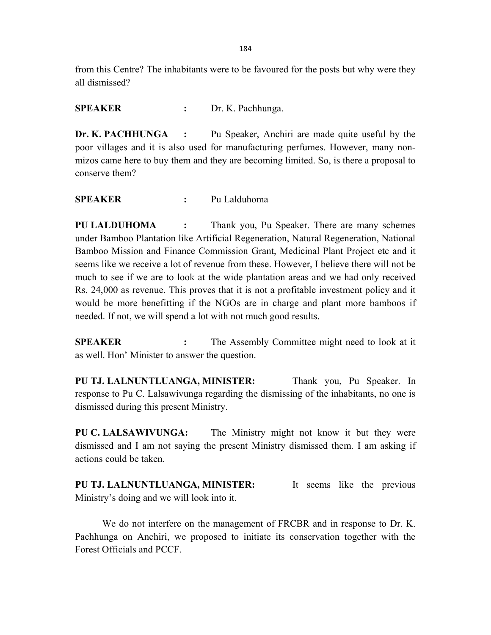from this Centre? The inhabitants were to be favoured for the posts but why were they all dismissed?

SPEAKER : Dr. K. Pachhunga.

Dr. K. PACHHUNGA : Pu Speaker, Anchiri are made quite useful by the poor villages and it is also used for manufacturing perfumes. However, many nonmizos came here to buy them and they are becoming limited. So, is there a proposal to conserve them?

SPEAKER : Pu Lalduhoma

PU LALDUHOMA : Thank you, Pu Speaker. There are many schemes under Bamboo Plantation like Artificial Regeneration, Natural Regeneration, National Bamboo Mission and Finance Commission Grant, Medicinal Plant Project etc and it seems like we receive a lot of revenue from these. However, I believe there will not be much to see if we are to look at the wide plantation areas and we had only received Rs. 24,000 as revenue. This proves that it is not a profitable investment policy and it would be more benefitting if the NGOs are in charge and plant more bamboos if needed. If not, we will spend a lot with not much good results.

SPEAKER : The Assembly Committee might need to look at it as well. Hon' Minister to answer the question.

PU TJ. LALNUNTLUANGA, MINISTER: Thank you, Pu Speaker. In response to Pu C. Lalsawivunga regarding the dismissing of the inhabitants, no one is dismissed during this present Ministry.

PU C. LALSAWIVUNGA: The Ministry might not know it but they were dismissed and I am not saying the present Ministry dismissed them. I am asking if actions could be taken.

PU TJ. LALNUNTLUANGA, MINISTER: It seems like the previous Ministry's doing and we will look into it.

 We do not interfere on the management of FRCBR and in response to Dr. K. Pachhunga on Anchiri, we proposed to initiate its conservation together with the Forest Officials and PCCF.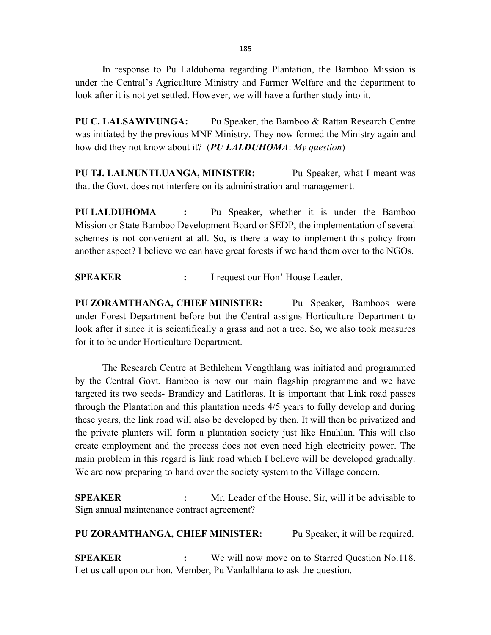In response to Pu Lalduhoma regarding Plantation, the Bamboo Mission is under the Central's Agriculture Ministry and Farmer Welfare and the department to look after it is not yet settled. However, we will have a further study into it.

PU C. LALSAWIVUNGA: Pu Speaker, the Bamboo & Rattan Research Centre was initiated by the previous MNF Ministry. They now formed the Ministry again and how did they not know about it? (PU LALDUHOMA: My question)

PU TJ. LALNUNTLUANGA, MINISTER: Pu Speaker, what I meant was that the Govt. does not interfere on its administration and management.

PU LALDUHOMA : Pu Speaker, whether it is under the Bamboo Mission or State Bamboo Development Board or SEDP, the implementation of several schemes is not convenient at all. So, is there a way to implement this policy from another aspect? I believe we can have great forests if we hand them over to the NGOs.

SPEAKER : I request our Hon' House Leader.

PU ZORAMTHANGA, CHIEF MINISTER: Pu Speaker, Bamboos were under Forest Department before but the Central assigns Horticulture Department to look after it since it is scientifically a grass and not a tree. So, we also took measures for it to be under Horticulture Department.

 The Research Centre at Bethlehem Vengthlang was initiated and programmed by the Central Govt. Bamboo is now our main flagship programme and we have targeted its two seeds- Brandicy and Latifloras. It is important that Link road passes through the Plantation and this plantation needs 4/5 years to fully develop and during these years, the link road will also be developed by then. It will then be privatized and the private planters will form a plantation society just like Hnahlan. This will also create employment and the process does not even need high electricity power. The main problem in this regard is link road which I believe will be developed gradually. We are now preparing to hand over the society system to the Village concern.

SPEAKER : Mr. Leader of the House, Sir, will it be advisable to Sign annual maintenance contract agreement?

PU ZORAMTHANGA, CHIEF MINISTER: Pu Speaker, it will be required.

SPEAKER : We will now move on to Starred Question No.118. Let us call upon our hon. Member, Pu Vanlalhlana to ask the question.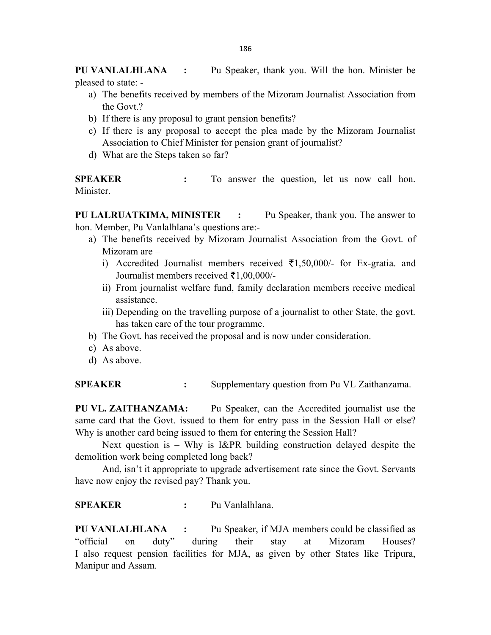PU VANLALHLANA : Pu Speaker, thank you. Will the hon. Minister be pleased to state: -

- a) The benefits received by members of the Mizoram Journalist Association from the Govt.?
- b) If there is any proposal to grant pension benefits?
- c) If there is any proposal to accept the plea made by the Mizoram Journalist Association to Chief Minister for pension grant of journalist?
- d) What are the Steps taken so far?

SPEAKER : To answer the question, let us now call hon. Minister.

PU LALRUATKIMA, MINISTER : Pu Speaker, thank you. The answer to hon. Member, Pu Vanlalhlana's questions are:-

- a) The benefits received by Mizoram Journalist Association from the Govt. of Mizoram are –
	- i) Accredited Journalist members received  $\bar{\bar{\xi}}$ 1,50,000/- for Ex-gratia. and Journalist members received  $\bar{\tau}1,00,000/$ -
	- ii) From journalist welfare fund, family declaration members receive medical assistance.
	- iii) Depending on the travelling purpose of a journalist to other State, the govt. has taken care of the tour programme.
- b) The Govt. has received the proposal and is now under consideration.
- c) As above.
- d) As above.

SPEAKER : Supplementary question from Pu VL Zaithanzama.

PU VL. ZAITHANZAMA: Pu Speaker, can the Accredited journalist use the same card that the Govt. issued to them for entry pass in the Session Hall or else? Why is another card being issued to them for entering the Session Hall?

Next question is – Why is I&PR building construction delayed despite the demolition work being completed long back?

 And, isn't it appropriate to upgrade advertisement rate since the Govt. Servants have now enjoy the revised pay? Thank you.

SPEAKER : Pu Vanlalhlana.

PU VANLALHLANA : Pu Speaker, if MJA members could be classified as "official on duty" during their stay at Mizoram Houses? I also request pension facilities for MJA, as given by other States like Tripura, Manipur and Assam.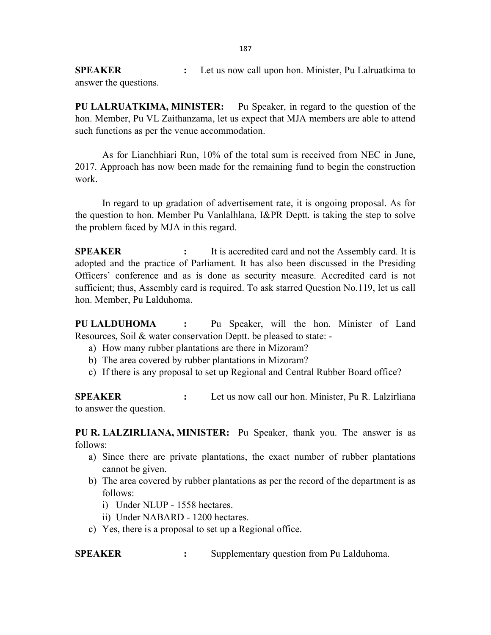SPEAKER : Let us now call upon hon. Minister, Pu Lalruatkima to answer the questions.

PU LALRUATKIMA, MINISTER: Pu Speaker, in regard to the question of the hon. Member, Pu VL Zaithanzama, let us expect that MJA members are able to attend such functions as per the venue accommodation.

 As for Lianchhiari Run, 10% of the total sum is received from NEC in June, 2017. Approach has now been made for the remaining fund to begin the construction work.

 In regard to up gradation of advertisement rate, it is ongoing proposal. As for the question to hon. Member Pu Vanlalhlana, I&PR Deptt. is taking the step to solve the problem faced by MJA in this regard.

SPEAKER : It is accredited card and not the Assembly card. It is adopted and the practice of Parliament. It has also been discussed in the Presiding Officers' conference and as is done as security measure. Accredited card is not sufficient; thus, Assembly card is required. To ask starred Question No.119, let us call hon. Member, Pu Lalduhoma.

PU LALDUHOMA : Pu Speaker, will the hon. Minister of Land Resources, Soil & water conservation Deptt. be pleased to state: -

- a) How many rubber plantations are there in Mizoram?
- b) The area covered by rubber plantations in Mizoram?
- c) If there is any proposal to set up Regional and Central Rubber Board office?

SPEAKER : Let us now call our hon. Minister, Pu R. Lalzirliana to answer the question.

PU R. LALZIRLIANA, MINISTER: Pu Speaker, thank you. The answer is as follows:

- a) Since there are private plantations, the exact number of rubber plantations cannot be given.
- b) The area covered by rubber plantations as per the record of the department is as follows:
	- i) Under NLUP 1558 hectares.
	- ii) Under NABARD 1200 hectares.
- c) Yes, there is a proposal to set up a Regional office.

SPEAKER : Supplementary question from Pu Lalduhoma.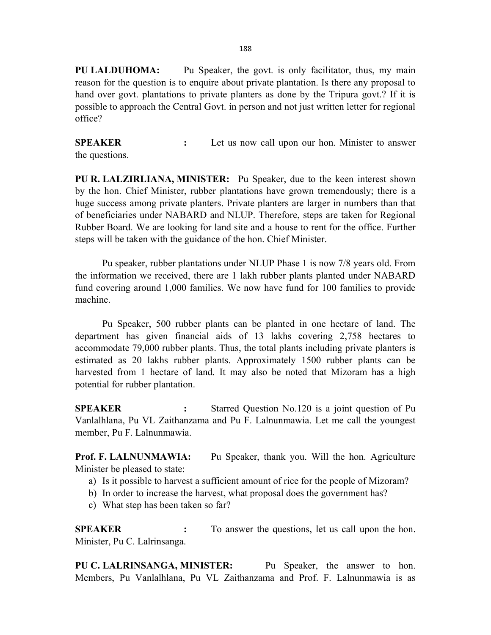PU LALDUHOMA: Pu Speaker, the govt. is only facilitator, thus, my main reason for the question is to enquire about private plantation. Is there any proposal to hand over govt. plantations to private planters as done by the Tripura govt.? If it is possible to approach the Central Govt. in person and not just written letter for regional office?

SPEAKER : Let us now call upon our hon. Minister to answer the questions.

PU R. LALZIRLIANA, MINISTER: Pu Speaker, due to the keen interest shown by the hon. Chief Minister, rubber plantations have grown tremendously; there is a huge success among private planters. Private planters are larger in numbers than that of beneficiaries under NABARD and NLUP. Therefore, steps are taken for Regional Rubber Board. We are looking for land site and a house to rent for the office. Further steps will be taken with the guidance of the hon. Chief Minister.

Pu speaker, rubber plantations under NLUP Phase 1 is now 7/8 years old. From the information we received, there are 1 lakh rubber plants planted under NABARD fund covering around 1,000 families. We now have fund for 100 families to provide machine.

 Pu Speaker, 500 rubber plants can be planted in one hectare of land. The department has given financial aids of 13 lakhs covering 2,758 hectares to accommodate 79,000 rubber plants. Thus, the total plants including private planters is estimated as 20 lakhs rubber plants. Approximately 1500 rubber plants can be harvested from 1 hectare of land. It may also be noted that Mizoram has a high potential for rubber plantation.

SPEAKER : Starred Question No.120 is a joint question of Pu Vanlalhlana, Pu VL Zaithanzama and Pu F. Lalnunmawia. Let me call the youngest member, Pu F. Lalnunmawia.

Prof. F. LALNUNMAWIA: Pu Speaker, thank you. Will the hon. Agriculture Minister be pleased to state:

- a) Is it possible to harvest a sufficient amount of rice for the people of Mizoram?
- b) In order to increase the harvest, what proposal does the government has?
- c) What step has been taken so far?

SPEAKER : To answer the questions, let us call upon the hon. Minister, Pu C. Lalrinsanga.

PU C. LALRINSANGA, MINISTER: Pu Speaker, the answer to hon. Members, Pu Vanlalhlana, Pu VL Zaithanzama and Prof. F. Lalnunmawia is as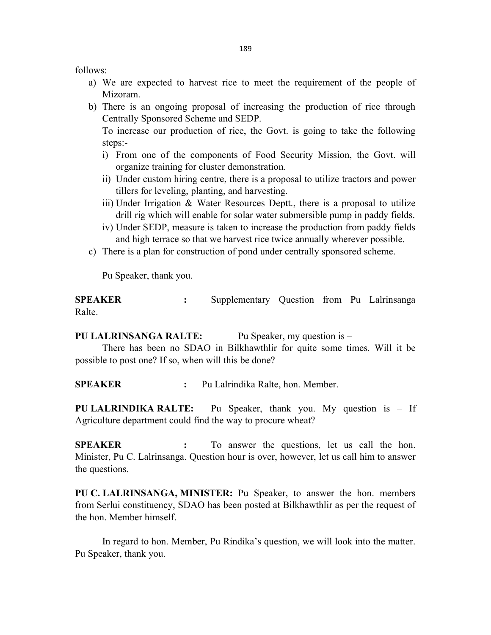follows:

- a) We are expected to harvest rice to meet the requirement of the people of Mizoram.
- b) There is an ongoing proposal of increasing the production of rice through Centrally Sponsored Scheme and SEDP.

 To increase our production of rice, the Govt. is going to take the following steps:-

- i) From one of the components of Food Security Mission, the Govt. will organize training for cluster demonstration.
- ii) Under custom hiring centre, there is a proposal to utilize tractors and power tillers for leveling, planting, and harvesting.
- iii) Under Irrigation & Water Resources Deptt., there is a proposal to utilize drill rig which will enable for solar water submersible pump in paddy fields.
- iv) Under SEDP, measure is taken to increase the production from paddy fields and high terrace so that we harvest rice twice annually wherever possible.
- c) There is a plan for construction of pond under centrally sponsored scheme.

Pu Speaker, thank you.

SPEAKER : Supplementary Question from Pu Lalrinsanga Ralte.

PU LALRINSANGA RALTE: Pu Speaker, my question is –

 There has been no SDAO in Bilkhawthlir for quite some times. Will it be possible to post one? If so, when will this be done?

SPEAKER : Pu Lalrindika Ralte, hon. Member.

PU LALRINDIKA RALTE: Pu Speaker, thank you. My question is - If Agriculture department could find the way to procure wheat?

SPEAKER : To answer the questions, let us call the hon. Minister, Pu C. Lalrinsanga. Question hour is over, however, let us call him to answer the questions.

PU C. LALRINSANGA, MINISTER: Pu Speaker, to answer the hon. members from Serlui constituency, SDAO has been posted at Bilkhawthlir as per the request of the hon. Member himself.

 In regard to hon. Member, Pu Rindika's question, we will look into the matter. Pu Speaker, thank you.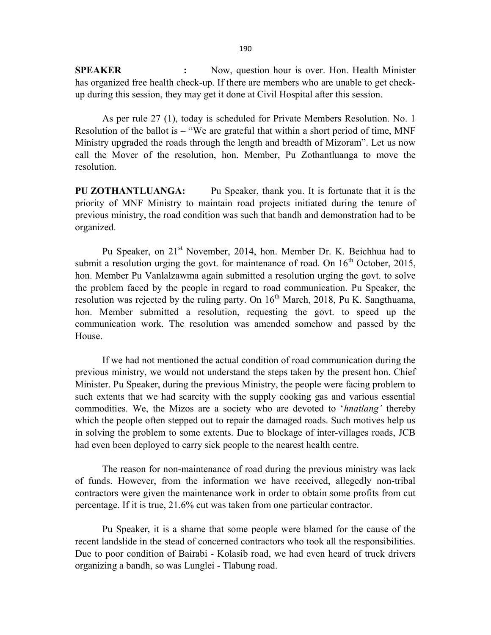SPEAKER : Now, question hour is over. Hon. Health Minister has organized free health check-up. If there are members who are unable to get checkup during this session, they may get it done at Civil Hospital after this session.

As per rule 27 (1), today is scheduled for Private Members Resolution. No. 1 Resolution of the ballot is – "We are grateful that within a short period of time, MNF Ministry upgraded the roads through the length and breadth of Mizoram". Let us now call the Mover of the resolution, hon. Member, Pu Zothantluanga to move the resolution.

PU ZOTHANTLUANGA: Pu Speaker, thank you. It is fortunate that it is the priority of MNF Ministry to maintain road projects initiated during the tenure of previous ministry, the road condition was such that bandh and demonstration had to be organized.

Pu Speaker, on 21<sup>st</sup> November, 2014, hon. Member Dr. K. Beichhua had to submit a resolution urging the govt. for maintenance of road. On  $16<sup>th</sup>$  October, 2015, hon. Member Pu Vanlalzawma again submitted a resolution urging the govt. to solve the problem faced by the people in regard to road communication. Pu Speaker, the resolution was rejected by the ruling party. On  $16<sup>th</sup>$  March, 2018, Pu K. Sangthuama, hon. Member submitted a resolution, requesting the govt. to speed up the communication work. The resolution was amended somehow and passed by the House.

If we had not mentioned the actual condition of road communication during the previous ministry, we would not understand the steps taken by the present hon. Chief Minister. Pu Speaker, during the previous Ministry, the people were facing problem to such extents that we had scarcity with the supply cooking gas and various essential commodities. We, the Mizos are a society who are devoted to 'hnatlang' thereby which the people often stepped out to repair the damaged roads. Such motives help us in solving the problem to some extents. Due to blockage of inter-villages roads, JCB had even been deployed to carry sick people to the nearest health centre.

The reason for non-maintenance of road during the previous ministry was lack of funds. However, from the information we have received, allegedly non-tribal contractors were given the maintenance work in order to obtain some profits from cut percentage. If it is true, 21.6% cut was taken from one particular contractor.

Pu Speaker, it is a shame that some people were blamed for the cause of the recent landslide in the stead of concerned contractors who took all the responsibilities. Due to poor condition of Bairabi - Kolasib road, we had even heard of truck drivers organizing a bandh, so was Lunglei - Tlabung road.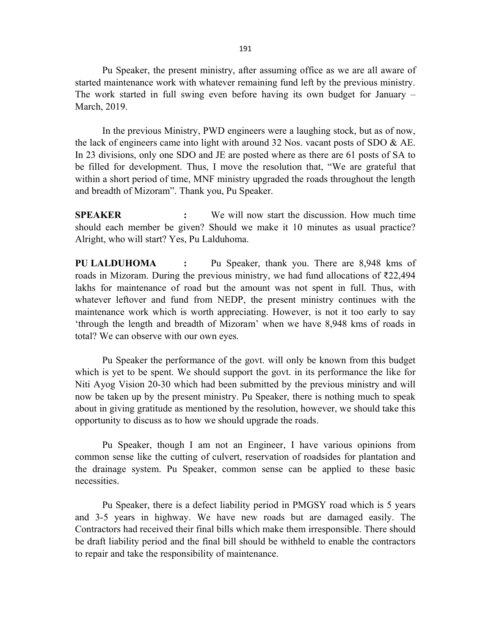Pu Speaker, the present ministry, after assuming office as we are all aware of started maintenance work with whatever remaining fund left by the previous ministry. The work started in full swing even before having its own budget for January – March, 2019.

In the previous Ministry, PWD engineers were a laughing stock, but as of now, the lack of engineers came into light with around  $32$  Nos. vacant posts of SDO  $\&$  AE. In 23 divisions, only one SDO and JE are posted where as there are 61 posts of SA to be filled for development. Thus, I move the resolution that, "We are grateful that within a short period of time, MNF ministry upgraded the roads throughout the length and breadth of Mizoram". Thank you, Pu Speaker.

SPEAKER : We will now start the discussion. How much time should each member be given? Should we make it 10 minutes as usual practice? Alright, who will start? Yes, Pu Lalduhoma.

PU LALDUHOMA : Pu Speaker, thank you. There are 8,948 kms of roads in Mizoram. During the previous ministry, we had fund allocations of ₹22,494 lakhs for maintenance of road but the amount was not spent in full. Thus, with whatever leftover and fund from NEDP, the present ministry continues with the maintenance work which is worth appreciating. However, is not it too early to say 'through the length and breadth of Mizoram' when we have 8,948 kms of roads in total? We can observe with our own eyes.

 Pu Speaker the performance of the govt. will only be known from this budget which is yet to be spent. We should support the govt. in its performance the like for Niti Ayog Vision 20-30 which had been submitted by the previous ministry and will now be taken up by the present ministry. Pu Speaker, there is nothing much to speak about in giving gratitude as mentioned by the resolution, however, we should take this opportunity to discuss as to how we should upgrade the roads.

Pu Speaker, though I am not an Engineer, I have various opinions from common sense like the cutting of culvert, reservation of roadsides for plantation and the drainage system. Pu Speaker, common sense can be applied to these basic necessities.

Pu Speaker, there is a defect liability period in PMGSY road which is 5 years and 3-5 years in highway. We have new roads but are damaged easily. The Contractors had received their final bills which make them irresponsible. There should be draft liability period and the final bill should be withheld to enable the contractors to repair and take the responsibility of maintenance.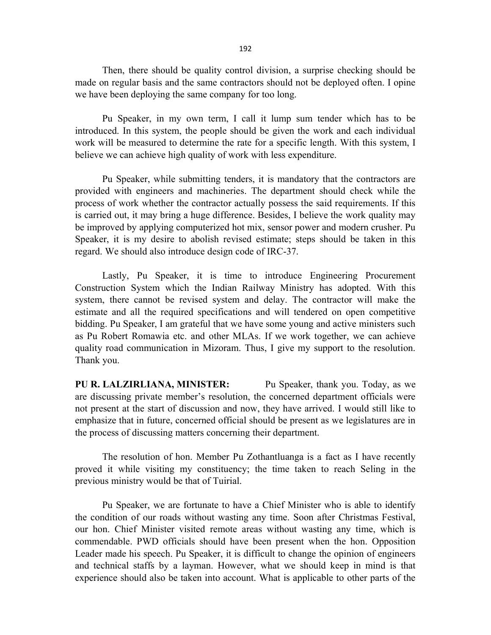Then, there should be quality control division, a surprise checking should be made on regular basis and the same contractors should not be deployed often. I opine we have been deploying the same company for too long.

 Pu Speaker, in my own term, I call it lump sum tender which has to be introduced. In this system, the people should be given the work and each individual work will be measured to determine the rate for a specific length. With this system, I believe we can achieve high quality of work with less expenditure.

Pu Speaker, while submitting tenders, it is mandatory that the contractors are provided with engineers and machineries. The department should check while the process of work whether the contractor actually possess the said requirements. If this is carried out, it may bring a huge difference. Besides, I believe the work quality may be improved by applying computerized hot mix, sensor power and modern crusher. Pu Speaker, it is my desire to abolish revised estimate; steps should be taken in this regard. We should also introduce design code of IRC-37.

 Lastly, Pu Speaker, it is time to introduce Engineering Procurement Construction System which the Indian Railway Ministry has adopted. With this system, there cannot be revised system and delay. The contractor will make the estimate and all the required specifications and will tendered on open competitive bidding. Pu Speaker, I am grateful that we have some young and active ministers such as Pu Robert Romawia etc. and other MLAs. If we work together, we can achieve quality road communication in Mizoram. Thus, I give my support to the resolution. Thank you.

PU R. LALZIRLIANA, MINISTER: Pu Speaker, thank you. Today, as we are discussing private member's resolution, the concerned department officials were not present at the start of discussion and now, they have arrived. I would still like to emphasize that in future, concerned official should be present as we legislatures are in the process of discussing matters concerning their department.

 The resolution of hon. Member Pu Zothantluanga is a fact as I have recently proved it while visiting my constituency; the time taken to reach Seling in the previous ministry would be that of Tuirial.

 Pu Speaker, we are fortunate to have a Chief Minister who is able to identify the condition of our roads without wasting any time. Soon after Christmas Festival, our hon. Chief Minister visited remote areas without wasting any time, which is commendable. PWD officials should have been present when the hon. Opposition Leader made his speech. Pu Speaker, it is difficult to change the opinion of engineers and technical staffs by a layman. However, what we should keep in mind is that experience should also be taken into account. What is applicable to other parts of the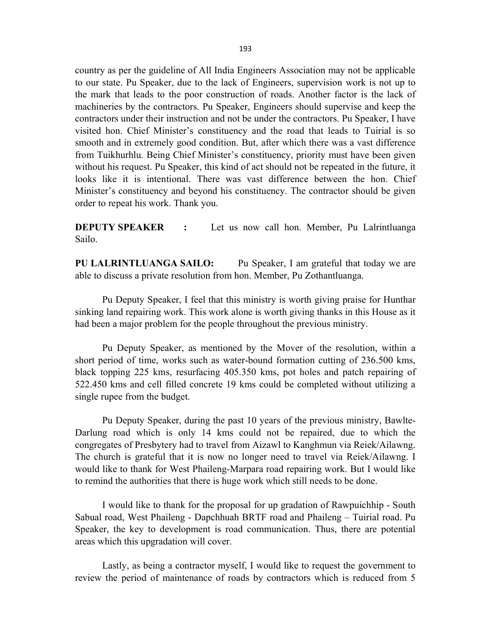country as per the guideline of All India Engineers Association may not be applicable to our state. Pu Speaker, due to the lack of Engineers, supervision work is not up to the mark that leads to the poor construction of roads. Another factor is the lack of machineries by the contractors. Pu Speaker, Engineers should supervise and keep the contractors under their instruction and not be under the contractors. Pu Speaker, I have visited hon. Chief Minister's constituency and the road that leads to Tuirial is so smooth and in extremely good condition. But, after which there was a vast difference from Tuikhurhlu. Being Chief Minister's constituency, priority must have been given without his request. Pu Speaker, this kind of act should not be repeated in the future, it looks like it is intentional. There was vast difference between the hon. Chief Minister's constituency and beyond his constituency. The contractor should be given order to repeat his work. Thank you.

**DEPUTY SPEAKER** : Let us now call hon. Member, Pu Lalrintluanga Sailo.

PU LALRINTLUANGA SAILO: Pu Speaker, I am grateful that today we are able to discuss a private resolution from hon. Member, Pu Zothantluanga.

Pu Deputy Speaker, I feel that this ministry is worth giving praise for Hunthar sinking land repairing work. This work alone is worth giving thanks in this House as it had been a major problem for the people throughout the previous ministry.

Pu Deputy Speaker, as mentioned by the Mover of the resolution, within a short period of time, works such as water-bound formation cutting of 236.500 kms, black topping 225 kms, resurfacing 405.350 kms, pot holes and patch repairing of 522.450 kms and cell filled concrete 19 kms could be completed without utilizing a single rupee from the budget.

Pu Deputy Speaker, during the past 10 years of the previous ministry, Bawlte-Darlung road which is only 14 kms could not be repaired, due to which the congregates of Presbytery had to travel from Aizawl to Kanghmun via Reiek/Ailawng. The church is grateful that it is now no longer need to travel via Reiek/Ailawng. I would like to thank for West Phaileng-Marpara road repairing work. But I would like to remind the authorities that there is huge work which still needs to be done.

I would like to thank for the proposal for up gradation of Rawpuichhip - South Sabual road, West Phaileng - Dapchhuah BRTF road and Phaileng – Tuirial road. Pu Speaker, the key to development is road communication. Thus, there are potential areas which this upgradation will cover.

Lastly, as being a contractor myself, I would like to request the government to review the period of maintenance of roads by contractors which is reduced from 5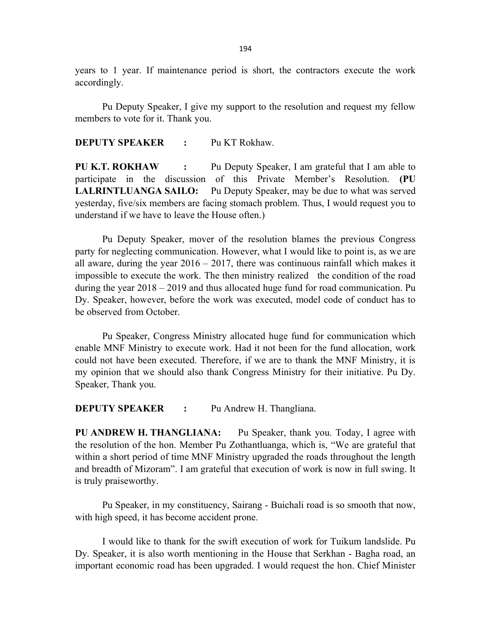years to 1 year. If maintenance period is short, the contractors execute the work accordingly.

 Pu Deputy Speaker, I give my support to the resolution and request my fellow members to vote for it. Thank you.

DEPUTY SPEAKER : Pu KT Rokhaw.

PU K.T. ROKHAW : Pu Deputy Speaker, I am grateful that I am able to participate in the discussion of this Private Member's Resolution. (PU LALRINTLUANGA SAILO: Pu Deputy Speaker, may be due to what was served yesterday, five/six members are facing stomach problem. Thus, I would request you to understand if we have to leave the House often.)

 Pu Deputy Speaker, mover of the resolution blames the previous Congress party for neglecting communication. However, what I would like to point is, as we are all aware, during the year  $2016 - 2017$ , there was continuous rainfall which makes it impossible to execute the work. The then ministry realized the condition of the road during the year 2018 – 2019 and thus allocated huge fund for road communication. Pu Dy. Speaker, however, before the work was executed, model code of conduct has to be observed from October.

 Pu Speaker, Congress Ministry allocated huge fund for communication which enable MNF Ministry to execute work. Had it not been for the fund allocation, work could not have been executed. Therefore, if we are to thank the MNF Ministry, it is my opinion that we should also thank Congress Ministry for their initiative. Pu Dy. Speaker, Thank you.

**DEPUTY SPEAKER :** Pu Andrew H. Thangliana.

PU ANDREW H. THANGLIANA: Pu Speaker, thank you. Today, I agree with the resolution of the hon. Member Pu Zothantluanga, which is, "We are grateful that within a short period of time MNF Ministry upgraded the roads throughout the length and breadth of Mizoram". I am grateful that execution of work is now in full swing. It is truly praiseworthy.

Pu Speaker, in my constituency, Sairang - Buichali road is so smooth that now, with high speed, it has become accident prone.

 I would like to thank for the swift execution of work for Tuikum landslide. Pu Dy. Speaker, it is also worth mentioning in the House that Serkhan - Bagha road, an important economic road has been upgraded. I would request the hon. Chief Minister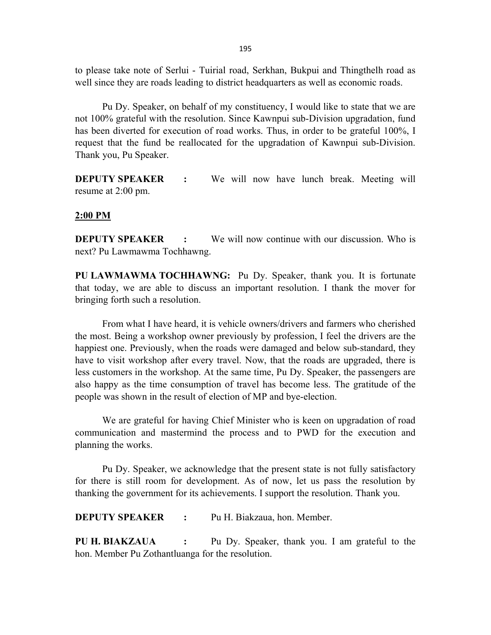to please take note of Serlui - Tuirial road, Serkhan, Bukpui and Thingthelh road as well since they are roads leading to district headquarters as well as economic roads.

Pu Dy. Speaker, on behalf of my constituency, I would like to state that we are not 100% grateful with the resolution. Since Kawnpui sub-Division upgradation, fund has been diverted for execution of road works. Thus, in order to be grateful 100%, I request that the fund be reallocated for the upgradation of Kawnpui sub-Division. Thank you, Pu Speaker.

**DEPUTY SPEAKER** : We will now have lunch break. Meeting will resume at 2:00 pm.

#### 2:00 PM

**DEPUTY SPEAKER** : We will now continue with our discussion. Who is next? Pu Lawmawma Tochhawng.

PU LAWMAWMA TOCHHAWNG: Pu Dy. Speaker, thank you. It is fortunate that today, we are able to discuss an important resolution. I thank the mover for bringing forth such a resolution.

 From what I have heard, it is vehicle owners/drivers and farmers who cherished the most. Being a workshop owner previously by profession, I feel the drivers are the happiest one. Previously, when the roads were damaged and below sub-standard, they have to visit workshop after every travel. Now, that the roads are upgraded, there is less customers in the workshop. At the same time, Pu Dy. Speaker, the passengers are also happy as the time consumption of travel has become less. The gratitude of the people was shown in the result of election of MP and bye-election.

 We are grateful for having Chief Minister who is keen on upgradation of road communication and mastermind the process and to PWD for the execution and planning the works.

 Pu Dy. Speaker, we acknowledge that the present state is not fully satisfactory for there is still room for development. As of now, let us pass the resolution by thanking the government for its achievements. I support the resolution. Thank you.

DEPUTY SPEAKER : Pu H. Biakzaua, hon. Member.

PU H. BIAKZAUA : Pu Dy. Speaker, thank you. I am grateful to the hon. Member Pu Zothantluanga for the resolution.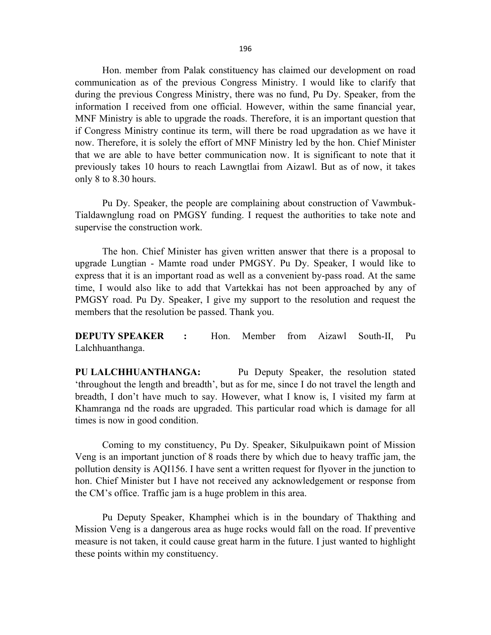Hon. member from Palak constituency has claimed our development on road communication as of the previous Congress Ministry. I would like to clarify that during the previous Congress Ministry, there was no fund, Pu Dy. Speaker, from the information I received from one official. However, within the same financial year, MNF Ministry is able to upgrade the roads. Therefore, it is an important question that if Congress Ministry continue its term, will there be road upgradation as we have it now. Therefore, it is solely the effort of MNF Ministry led by the hon. Chief Minister that we are able to have better communication now. It is significant to note that it previously takes 10 hours to reach Lawngtlai from Aizawl. But as of now, it takes only 8 to 8.30 hours.

 Pu Dy. Speaker, the people are complaining about construction of Vawmbuk-Tialdawnglung road on PMGSY funding. I request the authorities to take note and supervise the construction work.

 The hon. Chief Minister has given written answer that there is a proposal to upgrade Lungtian - Mamte road under PMGSY. Pu Dy. Speaker, I would like to express that it is an important road as well as a convenient by-pass road. At the same time, I would also like to add that Vartekkai has not been approached by any of PMGSY road. Pu Dy. Speaker, I give my support to the resolution and request the members that the resolution be passed. Thank you.

DEPUTY SPEAKER : Hon. Member from Aizawl South-II, Pu Lalchhuanthanga.

PU LALCHHUANTHANGA: Pu Deputy Speaker, the resolution stated 'throughout the length and breadth', but as for me, since I do not travel the length and breadth, I don't have much to say. However, what I know is, I visited my farm at Khamranga nd the roads are upgraded. This particular road which is damage for all times is now in good condition.

 Coming to my constituency, Pu Dy. Speaker, Sikulpuikawn point of Mission Veng is an important junction of 8 roads there by which due to heavy traffic jam, the pollution density is AQI156. I have sent a written request for flyover in the junction to hon. Chief Minister but I have not received any acknowledgement or response from the CM's office. Traffic jam is a huge problem in this area.

Pu Deputy Speaker, Khamphei which is in the boundary of Thakthing and Mission Veng is a dangerous area as huge rocks would fall on the road. If preventive measure is not taken, it could cause great harm in the future. I just wanted to highlight these points within my constituency.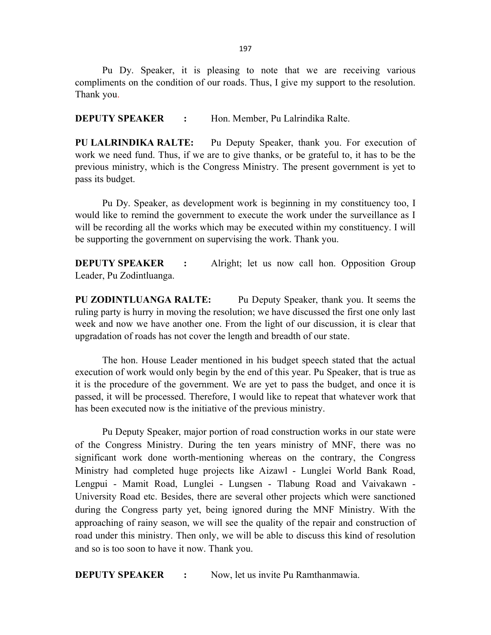Pu Dy. Speaker, it is pleasing to note that we are receiving various compliments on the condition of our roads. Thus, I give my support to the resolution. Thank you.

**DEPUTY SPEAKER :** Hon. Member, Pu Lalrindika Ralte.

PU LALRINDIKA RALTE: Pu Deputy Speaker, thank you. For execution of work we need fund. Thus, if we are to give thanks, or be grateful to, it has to be the previous ministry, which is the Congress Ministry. The present government is yet to pass its budget.

Pu Dy. Speaker, as development work is beginning in my constituency too, I would like to remind the government to execute the work under the surveillance as I will be recording all the works which may be executed within my constituency. I will be supporting the government on supervising the work. Thank you.

**DEPUTY SPEAKER** : Alright; let us now call hon. Opposition Group Leader, Pu Zodintluanga.

PU ZODINTLUANGA RALTE: Pu Deputy Speaker, thank you. It seems the ruling party is hurry in moving the resolution; we have discussed the first one only last week and now we have another one. From the light of our discussion, it is clear that upgradation of roads has not cover the length and breadth of our state.

 The hon. House Leader mentioned in his budget speech stated that the actual execution of work would only begin by the end of this year. Pu Speaker, that is true as it is the procedure of the government. We are yet to pass the budget, and once it is passed, it will be processed. Therefore, I would like to repeat that whatever work that has been executed now is the initiative of the previous ministry.

Pu Deputy Speaker, major portion of road construction works in our state were of the Congress Ministry. During the ten years ministry of MNF, there was no significant work done worth-mentioning whereas on the contrary, the Congress Ministry had completed huge projects like Aizawl - Lunglei World Bank Road, Lengpui - Mamit Road, Lunglei - Lungsen - Tlabung Road and Vaivakawn - University Road etc. Besides, there are several other projects which were sanctioned during the Congress party yet, being ignored during the MNF Ministry. With the approaching of rainy season, we will see the quality of the repair and construction of road under this ministry. Then only, we will be able to discuss this kind of resolution and so is too soon to have it now. Thank you.

**DEPUTY SPEAKER :** Now, let us invite Pu Ramthanmawia.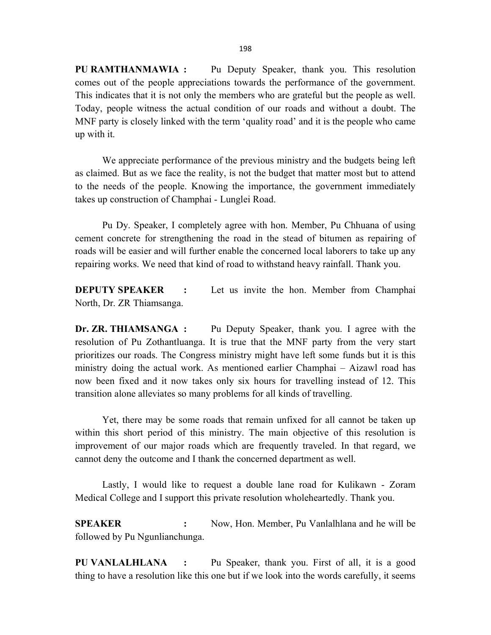PU RAMTHANMAWIA : Pu Deputy Speaker, thank you. This resolution comes out of the people appreciations towards the performance of the government. This indicates that it is not only the members who are grateful but the people as well. Today, people witness the actual condition of our roads and without a doubt. The MNF party is closely linked with the term 'quality road' and it is the people who came up with it.

We appreciate performance of the previous ministry and the budgets being left as claimed. But as we face the reality, is not the budget that matter most but to attend to the needs of the people. Knowing the importance, the government immediately takes up construction of Champhai - Lunglei Road.

Pu Dy. Speaker, I completely agree with hon. Member, Pu Chhuana of using cement concrete for strengthening the road in the stead of bitumen as repairing of roads will be easier and will further enable the concerned local laborers to take up any repairing works. We need that kind of road to withstand heavy rainfall. Thank you.

**DEPUTY SPEAKER** : Let us invite the hon. Member from Champhai North, Dr. ZR Thiamsanga.

Dr. ZR. THIAMSANGA : Pu Deputy Speaker, thank you. I agree with the resolution of Pu Zothantluanga. It is true that the MNF party from the very start prioritizes our roads. The Congress ministry might have left some funds but it is this ministry doing the actual work. As mentioned earlier Champhai – Aizawl road has now been fixed and it now takes only six hours for travelling instead of 12. This transition alone alleviates so many problems for all kinds of travelling.

Yet, there may be some roads that remain unfixed for all cannot be taken up within this short period of this ministry. The main objective of this resolution is improvement of our major roads which are frequently traveled. In that regard, we cannot deny the outcome and I thank the concerned department as well.

Lastly, I would like to request a double lane road for Kulikawn - Zoram Medical College and I support this private resolution wholeheartedly. Thank you.

SPEAKER : Now, Hon. Member, Pu Vanlalhlana and he will be followed by Pu Ngunlianchunga.

PU VANLALHLANA : Pu Speaker, thank you. First of all, it is a good thing to have a resolution like this one but if we look into the words carefully, it seems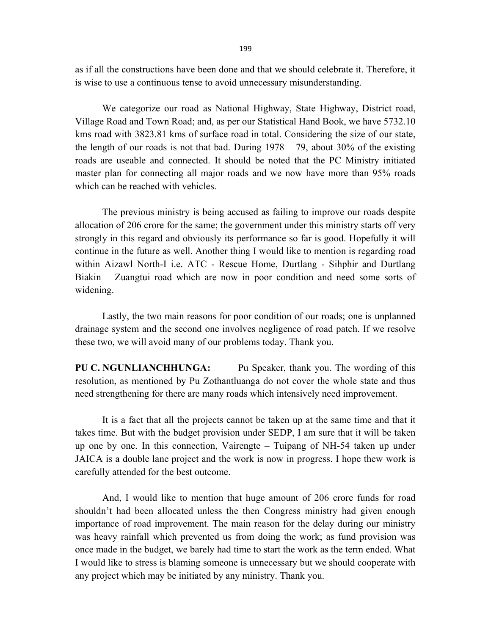as if all the constructions have been done and that we should celebrate it. Therefore, it is wise to use a continuous tense to avoid unnecessary misunderstanding.

We categorize our road as National Highway, State Highway, District road, Village Road and Town Road; and, as per our Statistical Hand Book, we have 5732.10 kms road with 3823.81 kms of surface road in total. Considering the size of our state, the length of our roads is not that bad. During  $1978 - 79$ , about 30% of the existing roads are useable and connected. It should be noted that the PC Ministry initiated master plan for connecting all major roads and we now have more than 95% roads which can be reached with vehicles.

The previous ministry is being accused as failing to improve our roads despite allocation of 206 crore for the same; the government under this ministry starts off very strongly in this regard and obviously its performance so far is good. Hopefully it will continue in the future as well. Another thing I would like to mention is regarding road within Aizawl North-I i.e. ATC - Rescue Home, Durtlang - Sihphir and Durtlang Biakin – Zuangtui road which are now in poor condition and need some sorts of widening.

Lastly, the two main reasons for poor condition of our roads; one is unplanned drainage system and the second one involves negligence of road patch. If we resolve these two, we will avoid many of our problems today. Thank you.

PU C. NGUNLIANCHHUNGA: Pu Speaker, thank you. The wording of this resolution, as mentioned by Pu Zothantluanga do not cover the whole state and thus need strengthening for there are many roads which intensively need improvement.

 It is a fact that all the projects cannot be taken up at the same time and that it takes time. But with the budget provision under SEDP, I am sure that it will be taken up one by one. In this connection, Vairengte – Tuipang of NH-54 taken up under JAICA is a double lane project and the work is now in progress. I hope thew work is carefully attended for the best outcome.

And, I would like to mention that huge amount of 206 crore funds for road shouldn't had been allocated unless the then Congress ministry had given enough importance of road improvement. The main reason for the delay during our ministry was heavy rainfall which prevented us from doing the work; as fund provision was once made in the budget, we barely had time to start the work as the term ended. What I would like to stress is blaming someone is unnecessary but we should cooperate with any project which may be initiated by any ministry. Thank you.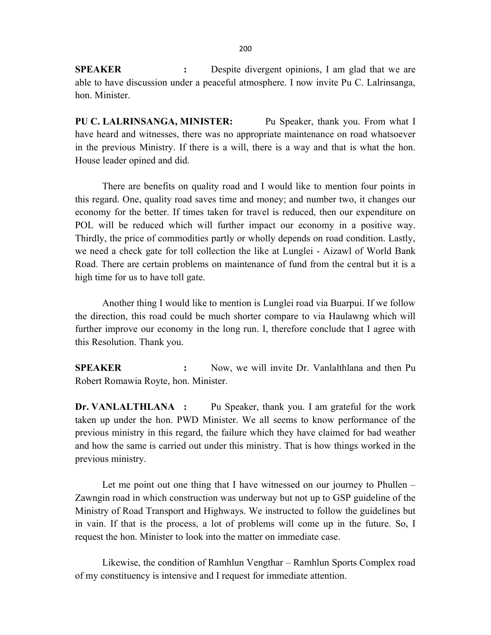**SPEAKER** : Despite divergent opinions, I am glad that we are able to have discussion under a peaceful atmosphere. I now invite Pu C. Lalrinsanga, hon. Minister.

PU C. LALRINSANGA, MINISTER: Pu Speaker, thank you. From what I have heard and witnesses, there was no appropriate maintenance on road whatsoever in the previous Ministry. If there is a will, there is a way and that is what the hon. House leader opined and did.

There are benefits on quality road and I would like to mention four points in this regard. One, quality road saves time and money; and number two, it changes our economy for the better. If times taken for travel is reduced, then our expenditure on POL will be reduced which will further impact our economy in a positive way. Thirdly, the price of commodities partly or wholly depends on road condition. Lastly, we need a check gate for toll collection the like at Lunglei - Aizawl of World Bank Road. There are certain problems on maintenance of fund from the central but it is a high time for us to have toll gate.

Another thing I would like to mention is Lunglei road via Buarpui. If we follow the direction, this road could be much shorter compare to via Haulawng which will further improve our economy in the long run. I, therefore conclude that I agree with this Resolution. Thank you.

SPEAKER : Now, we will invite Dr. Vanlalthlana and then Pu Robert Romawia Royte, hon. Minister.

Dr. VANLALTHLANA : Pu Speaker, thank you. I am grateful for the work taken up under the hon. PWD Minister. We all seems to know performance of the previous ministry in this regard, the failure which they have claimed for bad weather and how the same is carried out under this ministry. That is how things worked in the previous ministry.

Let me point out one thing that I have witnessed on our journey to Phullen – Zawngin road in which construction was underway but not up to GSP guideline of the Ministry of Road Transport and Highways. We instructed to follow the guidelines but in vain. If that is the process, a lot of problems will come up in the future. So, I request the hon. Minister to look into the matter on immediate case.

Likewise, the condition of Ramhlun Vengthar – Ramhlun Sports Complex road of my constituency is intensive and I request for immediate attention.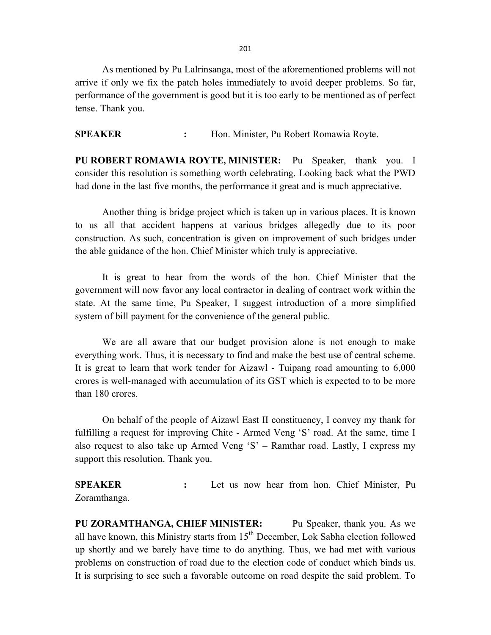201

 As mentioned by Pu Lalrinsanga, most of the aforementioned problems will not arrive if only we fix the patch holes immediately to avoid deeper problems. So far, performance of the government is good but it is too early to be mentioned as of perfect tense. Thank you.

SPEAKER : Hon. Minister, Pu Robert Romawia Royte.

PU ROBERT ROMAWIA ROYTE, MINISTER: Pu Speaker, thank you. I consider this resolution is something worth celebrating. Looking back what the PWD had done in the last five months, the performance it great and is much appreciative.

Another thing is bridge project which is taken up in various places. It is known to us all that accident happens at various bridges allegedly due to its poor construction. As such, concentration is given on improvement of such bridges under the able guidance of the hon. Chief Minister which truly is appreciative.

It is great to hear from the words of the hon. Chief Minister that the government will now favor any local contractor in dealing of contract work within the state. At the same time, Pu Speaker, I suggest introduction of a more simplified system of bill payment for the convenience of the general public.

We are all aware that our budget provision alone is not enough to make everything work. Thus, it is necessary to find and make the best use of central scheme. It is great to learn that work tender for Aizawl - Tuipang road amounting to 6,000 crores is well-managed with accumulation of its GST which is expected to to be more than 180 crores.

On behalf of the people of Aizawl East II constituency, I convey my thank for fulfilling a request for improving Chite - Armed Veng 'S' road. At the same, time I also request to also take up Armed Veng 'S' – Ramthar road. Lastly, I express my support this resolution. Thank you.

SPEAKER : Let us now hear from hon. Chief Minister, Pu Zoramthanga.

PU ZORAMTHANGA, CHIEF MINISTER: Pu Speaker, thank you. As we all have known, this Ministry starts from  $15<sup>th</sup>$  December, Lok Sabha election followed up shortly and we barely have time to do anything. Thus, we had met with various problems on construction of road due to the election code of conduct which binds us. It is surprising to see such a favorable outcome on road despite the said problem. To